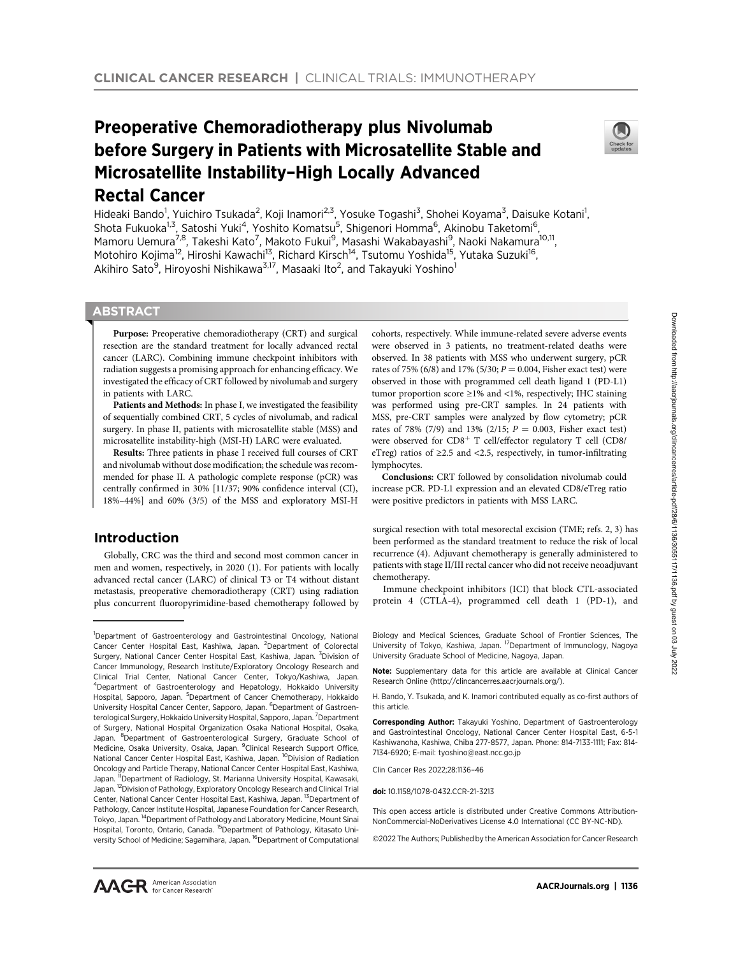# Preoperative Chemoradiotherapy plus Nivolumab before Surgery in Patients with Microsatellite Stable and Microsatellite Instability–High Locally Advanced Rectal Cancer



Hideaki Bando<sup>1</sup>, Yuichiro Tsukada<sup>2</sup>, Koji Inamori<sup>2,3</sup>, Yosuke Togashi<sup>3</sup>, Shohei Koyama<sup>3</sup>, Daisuke Kotani<sup>1</sup>, Shota Fukuoka<sup>1,3</sup>, Satoshi Yuki<sup>4</sup>, Yoshito Komatsu<sup>5</sup>, Shigenori Homma<sup>6</sup>, Akinobu Taketomi<sup>6</sup>, Mamoru Uemura<sup>7,8</sup>, Takeshi Kato<sup>7</sup>, Makoto Fukui<sup>9</sup>, Masashi Wakabayashi<sup>9</sup>, Naoki Nakamura<sup>10,11</sup>, Motohiro Kojima<sup>12</sup>, Hiroshi Kawachi<sup>13</sup>, Richard Kirsch<sup>14</sup>, Tsutomu Yoshida<sup>15</sup>, Yutaka Suzuki<sup>16</sup>, Akihiro Sato<sup>9</sup>, Hiroyoshi Nishikawa<sup>3,17</sup>, Masaaki Ito<sup>2</sup>, and Takayuki Yoshino<sup>1</sup>

## **ABSTRACT**

◥

Purpose: Preoperative chemoradiotherapy (CRT) and surgical resection are the standard treatment for locally advanced rectal cancer (LARC). Combining immune checkpoint inhibitors with radiation suggests a promising approach for enhancing efficacy. We investigated the efficacy of CRT followed by nivolumab and surgery in patients with LARC.

Patients and Methods: In phase I, we investigated the feasibility of sequentially combined CRT, 5 cycles of nivolumab, and radical surgery. In phase II, patients with microsatellite stable (MSS) and microsatellite instability-high (MSI-H) LARC were evaluated.

Results: Three patients in phase I received full courses of CRT and nivolumab without dose modification; the schedule was recommended for phase II. A pathologic complete response (pCR) was centrally confirmed in 30% [11/37; 90% confidence interval (CI), 18%–44%] and 60% (3/5) of the MSS and exploratory MSI-H

# Introduction

Globally, CRC was the third and second most common cancer in men and women, respectively, in 2020 (1). For patients with locally advanced rectal cancer (LARC) of clinical T3 or T4 without distant metastasis, preoperative chemoradiotherapy (CRT) using radiation plus concurrent fluoropyrimidine-based chemotherapy followed by

cohorts, respectively. While immune-related severe adverse events were observed in 3 patients, no treatment-related deaths were observed. In 38 patients with MSS who underwent surgery, pCR rates of 75% (6/8) and 17% (5/30;  $P = 0.004$ , Fisher exact test) were observed in those with programmed cell death ligand 1 (PD-L1) tumor proportion score ≥1% and <1%, respectively; IHC staining was performed using pre-CRT samples. In 24 patients with MSS, pre-CRT samples were analyzed by flow cytometry; pCR rates of 78% (7/9) and 13% (2/15;  $P = 0.003$ , Fisher exact test) were observed for  $CD8^+$  T cell/effector regulatory T cell (CD8/ eTreg) ratios of  $\geq$ 2.5 and <2.5, respectively, in tumor-infiltrating lymphocytes.

Conclusions: CRT followed by consolidation nivolumab could increase pCR. PD-L1 expression and an elevated CD8/eTreg ratio were positive predictors in patients with MSS LARC.

surgical resection with total mesorectal excision (TME; refs. 2, 3) has been performed as the standard treatment to reduce the risk of local recurrence (4). Adjuvant chemotherapy is generally administered to patients with stage II/III rectal cancer who did not receive neoadjuvant chemotherapy.

Immune checkpoint inhibitors (ICI) that block CTL-associated protein 4 (CTLA-4), programmed cell death 1 (PD-1), and

Biology and Medical Sciences, Graduate School of Frontier Sciences, The University of Tokyo, Kashiwa, Japan. <sup>17</sup> Department of Immunology, Nagoya University Graduate School of Medicine, Nagoya, Japan.

Note: Supplementary data for this article are available at Clinical Cancer Research Online (http://clincancerres.aacrjournals.org/).

H. Bando, Y. Tsukada, and K. Inamori contributed equally as co-first authors of this article.

Corresponding Author: Takayuki Yoshino, Department of Gastroenterology and Gastrointestinal Oncology, National Cancer Center Hospital East, 6-5-1 Kashiwanoha, Kashiwa, Chiba 277-8577, Japan. Phone: 814-7133-1111; Fax: 814- 7134-6920; E-mail: tyoshino@east.ncc.go.jp

Clin Cancer Res 2022;28:1136–46

doi: 10.1158/1078-0432.CCR-21-3213

This open access article is distributed under Creative Commons Attribution-NonCommercial-NoDerivatives License 4.0 International (CC BY-NC-ND).

©2022 The Authors; Published by the American Association for Cancer Research

<sup>&</sup>lt;sup>1</sup>Department of Gastroenterology and Gastrointestinal Oncology, National Cancer Center Hospital East, Kashiwa, Japan. <sup>2</sup>Department of Colorectal Surgery, National Cancer Center Hospital East, Kashiwa, Japan. <sup>3</sup>Division of Cancer Immunology, Research Institute/Exploratory Oncology Research and Clinical Trial Center, National Cancer Center, Tokyo/Kashiwa, Japan. 4 Department of Gastroenterology and Hepatology, Hokkaido University Hospital, Sapporo, Japan. <sup>5</sup>Department of Cancer Chemotherapy, Hokkaido University Hospital Cancer Center, Sapporo, Japan. <sup>6</sup>Department of Gastroenterological Surgery, Hokkaido University Hospital, Sapporo, Japan. <sup>7</sup> Department of Surgery, National Hospital Organization Osaka National Hospital, Osaka, Japan. <sup>8</sup>Department of Gastroenterological Surgery, Graduate School of Medicine, Osaka University, Osaka, Japan. <sup>9</sup>Clinical Research Support Office, National Cancer Center Hospital East, Kashiwa, Japan. <sup>10</sup>Division of Radiation Oncology and Particle Therapy, National Cancer Center Hospital East, Kashiwa, Japan. "Department of Radiology, St. Marianna University Hospital, Kawasaki, Japan. 12Division of Pathology, Exploratory Oncology Research and Clinical Trial Center, National Cancer Center Hospital East, Kashiwa, Japan. <sup>13</sup>Department of Pathology, Cancer Institute Hospital, Japanese Foundation for Cancer Research, Tokyo, Japan. 14Department of Pathology and Laboratory Medicine, Mount Sinai Hospital, Toronto, Ontario, Canada. 15Department of Pathology, Kitasato University School of Medicine; Sagamihara, Japan. 16Department of Computational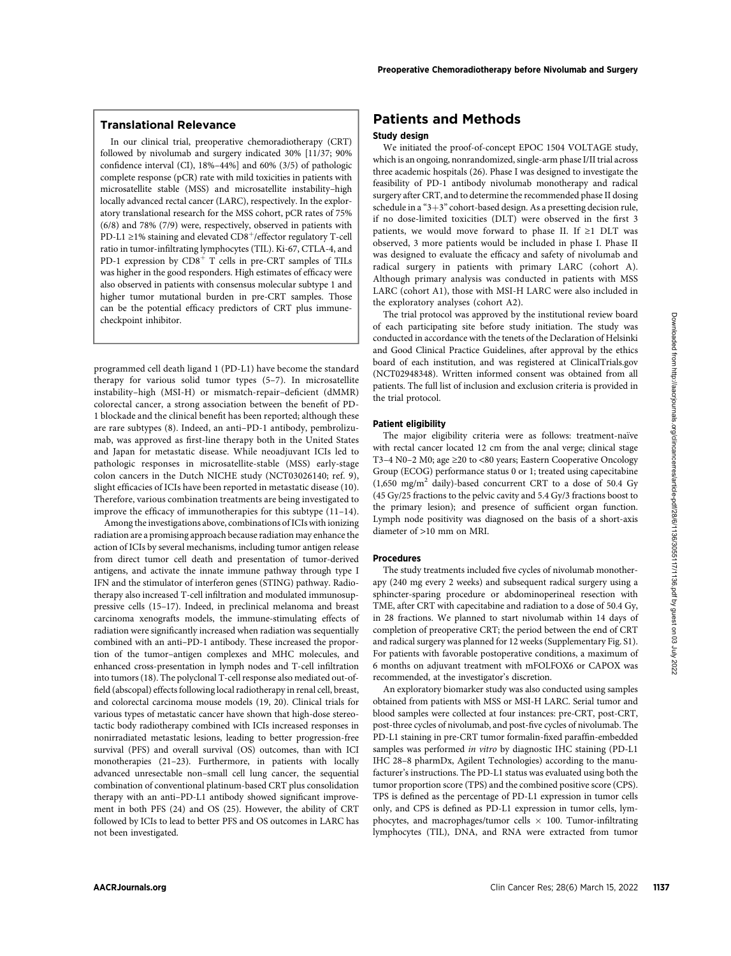In our clinical trial, preoperative chemoradiotherapy (CRT) followed by nivolumab and surgery indicated 30% [11/37; 90% confidence interval (CI), 18%–44%] and 60% (3/5) of pathologic complete response (pCR) rate with mild toxicities in patients with microsatellite stable (MSS) and microsatellite instability–high locally advanced rectal cancer (LARC), respectively. In the exploratory translational research for the MSS cohort, pCR rates of 75% (6/8) and 78% (7/9) were, respectively, observed in patients with PD-L1 ≥1% staining and elevated  $CD8^+$ /effector regulatory T-cell ratio in tumor-infiltrating lymphocytes (TIL). Ki-67, CTLA-4, and PD-1 expression by  $CDS^+$  T cells in pre-CRT samples of TILs was higher in the good responders. High estimates of efficacy were also observed in patients with consensus molecular subtype 1 and higher tumor mutational burden in pre-CRT samples. Those can be the potential efficacy predictors of CRT plus immunecheckpoint inhibitor.

programmed cell death ligand 1 (PD-L1) have become the standard therapy for various solid tumor types (5–7). In microsatellite instability–high (MSI-H) or mismatch-repair–deficient (dMMR) colorectal cancer, a strong association between the benefit of PD-1 blockade and the clinical benefit has been reported; although these are rare subtypes (8). Indeed, an anti–PD-1 antibody, pembrolizumab, was approved as first-line therapy both in the United States and Japan for metastatic disease. While neoadjuvant ICIs led to pathologic responses in microsatellite-stable (MSS) early-stage colon cancers in the Dutch NICHE study (NCT03026140; ref. 9), slight efficacies of ICIs have been reported in metastatic disease (10). Therefore, various combination treatments are being investigated to improve the efficacy of immunotherapies for this subtype (11–14).

Among the investigations above, combinations of ICIs with ionizing radiation are a promising approach because radiation may enhance the action of ICIs by several mechanisms, including tumor antigen release from direct tumor cell death and presentation of tumor-derived antigens, and activate the innate immune pathway through type I IFN and the stimulator of interferon genes (STING) pathway. Radiotherapy also increased T-cell infiltration and modulated immunosuppressive cells (15–17). Indeed, in preclinical melanoma and breast carcinoma xenografts models, the immune-stimulating effects of radiation were significantly increased when radiation was sequentially combined with an anti–PD-1 antibody. These increased the proportion of the tumor–antigen complexes and MHC molecules, and enhanced cross-presentation in lymph nodes and T-cell infiltration into tumors (18). The polyclonal T-cell response also mediated out-offield (abscopal) effects following local radiotherapy in renal cell, breast, and colorectal carcinoma mouse models (19, 20). Clinical trials for various types of metastatic cancer have shown that high-dose stereotactic body radiotherapy combined with ICIs increased responses in nonirradiated metastatic lesions, leading to better progression-free survival (PFS) and overall survival (OS) outcomes, than with ICI monotherapies (21–23). Furthermore, in patients with locally advanced unresectable non–small cell lung cancer, the sequential combination of conventional platinum-based CRT plus consolidation therapy with an anti–PD-L1 antibody showed significant improvement in both PFS (24) and OS (25). However, the ability of CRT followed by ICIs to lead to better PFS and OS outcomes in LARC has not been investigated.

## Patients and Methods

#### Study design

We initiated the proof-of-concept EPOC 1504 VOLTAGE study, which is an ongoing, nonrandomized, single-arm phase I/II trial across three academic hospitals (26). Phase I was designed to investigate the feasibility of PD-1 antibody nivolumab monotherapy and radical surgery after CRT, and to determine the recommended phase II dosing schedule in a " $3+3$ " cohort-based design. As a presetting decision rule, if no dose-limited toxicities (DLT) were observed in the first 3 patients, we would move forward to phase II. If ≥1 DLT was observed, 3 more patients would be included in phase I. Phase II was designed to evaluate the efficacy and safety of nivolumab and radical surgery in patients with primary LARC (cohort A). Although primary analysis was conducted in patients with MSS LARC (cohort A1), those with MSI-H LARC were also included in the exploratory analyses (cohort A2).

The trial protocol was approved by the institutional review board of each participating site before study initiation. The study was conducted in accordance with the tenets of the Declaration of Helsinki and Good Clinical Practice Guidelines, after approval by the ethics board of each institution, and was registered at ClinicalTrials.gov (NCT02948348). Written informed consent was obtained from all patients. The full list of inclusion and exclusion criteria is provided in the trial protocol.

#### Patient eligibility

The major eligibility criteria were as follows: treatment-naïve with rectal cancer located 12 cm from the anal verge; clinical stage T3–4 N0–2 M0; age ≥20 to <80 years; Eastern Cooperative Oncology Group (ECOG) performance status 0 or 1; treated using capecitabine  $(1,650 \text{ mg/m}^2 \text{ daily})$ -based concurrent CRT to a dose of 50.4 Gy (45 Gy/25 fractions to the pelvic cavity and 5.4 Gy/3 fractions boost to the primary lesion); and presence of sufficient organ function. Lymph node positivity was diagnosed on the basis of a short-axis diameter of >10 mm on MRI.

#### Procedures

The study treatments included five cycles of nivolumab monotherapy (240 mg every 2 weeks) and subsequent radical surgery using a sphincter-sparing procedure or abdominoperineal resection with TME, after CRT with capecitabine and radiation to a dose of 50.4 Gy, in 28 fractions. We planned to start nivolumab within 14 days of completion of preoperative CRT; the period between the end of CRT and radical surgery was planned for 12 weeks (Supplementary Fig. S1). For patients with favorable postoperative conditions, a maximum of 6 months on adjuvant treatment with mFOLFOX6 or CAPOX was recommended, at the investigator's discretion.

An exploratory biomarker study was also conducted using samples obtained from patients with MSS or MSI-H LARC. Serial tumor and blood samples were collected at four instances: pre-CRT, post-CRT, post-three cycles of nivolumab, and post-five cycles of nivolumab. The PD-L1 staining in pre-CRT tumor formalin-fixed paraffin-embedded samples was performed in vitro by diagnostic IHC staining (PD-L1 IHC 28–8 pharmDx, Agilent Technologies) according to the manufacturer's instructions. The PD-L1 status was evaluated using both the tumor proportion score (TPS) and the combined positive score (CPS). TPS is defined as the percentage of PD-L1 expression in tumor cells only, and CPS is defined as PD-L1 expression in tumor cells, lymphocytes, and macrophages/tumor cells  $\times$  100. Tumor-infiltrating lymphocytes (TIL), DNA, and RNA were extracted from tumor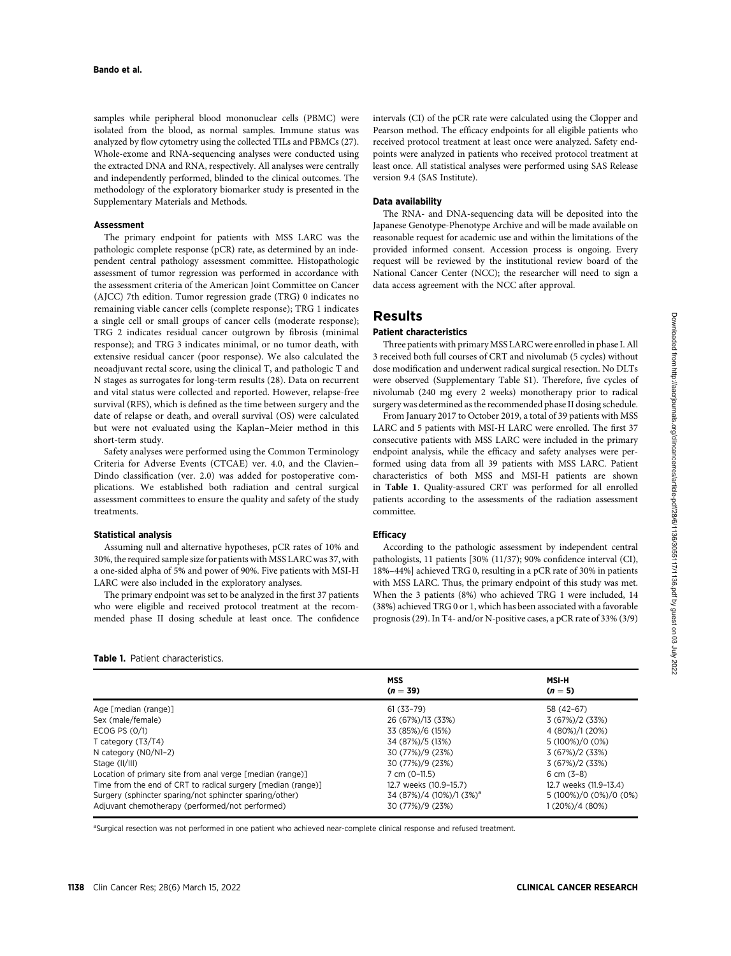samples while peripheral blood mononuclear cells (PBMC) were isolated from the blood, as normal samples. Immune status was analyzed by flow cytometry using the collected TILs and PBMCs (27). Whole-exome and RNA-sequencing analyses were conducted using the extracted DNA and RNA, respectively. All analyses were centrally and independently performed, blinded to the clinical outcomes. The methodology of the exploratory biomarker study is presented in the Supplementary Materials and Methods.

#### Assessment

The primary endpoint for patients with MSS LARC was the pathologic complete response (pCR) rate, as determined by an independent central pathology assessment committee. Histopathologic assessment of tumor regression was performed in accordance with the assessment criteria of the American Joint Committee on Cancer (AJCC) 7th edition. Tumor regression grade (TRG) 0 indicates no remaining viable cancer cells (complete response); TRG 1 indicates a single cell or small groups of cancer cells (moderate response); TRG 2 indicates residual cancer outgrown by fibrosis (minimal response); and TRG 3 indicates minimal, or no tumor death, with extensive residual cancer (poor response). We also calculated the neoadjuvant rectal score, using the clinical T, and pathologic T and N stages as surrogates for long-term results (28). Data on recurrent and vital status were collected and reported. However, relapse-free survival (RFS), which is defined as the time between surgery and the date of relapse or death, and overall survival (OS) were calculated but were not evaluated using the Kaplan–Meier method in this short-term study.

Safety analyses were performed using the Common Terminology Criteria for Adverse Events (CTCAE) ver. 4.0, and the Clavien– Dindo classification (ver. 2.0) was added for postoperative complications. We established both radiation and central surgical assessment committees to ensure the quality and safety of the study treatments.

#### Statistical analysis

Assuming null and alternative hypotheses, pCR rates of 10% and 30%, the required sample size for patients with MSS LARC was 37, with a one-sided alpha of 5% and power of 90%. Five patients with MSI-H LARC were also included in the exploratory analyses.

The primary endpoint was set to be analyzed in the first 37 patients who were eligible and received protocol treatment at the recommended phase II dosing schedule at least once. The confidence

| <b>Table 1.</b> Patient characteristics.                     |                          |                         |  |  |
|--------------------------------------------------------------|--------------------------|-------------------------|--|--|
|                                                              | <b>MSS</b><br>$(n = 39)$ | <b>MSI-H</b><br>$(n=5)$ |  |  |
| Age [median (range)]                                         | $61(33 - 79)$            | 58 (42-67)              |  |  |
| Sex (male/female)                                            | 26 (67%)/13 (33%)        | 3(67%)/2(33%)           |  |  |
| ECOG PS (0/1)                                                | 33 (85%)/6 (15%)         | 4 (80%)/1 (20%)         |  |  |
| T category $(T3/T4)$                                         | 34 (87%)/5 (13%)         | 5 (100%)/0 (0%)         |  |  |
| N category $(NO/N1-2)$                                       | 30 (77%)/9 (23%)         | 3(67%)/2(33%)           |  |  |
| Stage (II/III)                                               | 30 (77%)/9 (23%)         | 3(67%)/2(33%)           |  |  |
| Location of primary site from anal verge [median (range)]    | 7 cm (0-11.5)            | 6 cm $(3-8)$            |  |  |
| Time from the end of CRT to radical surgery [median (range)] | 12.7 weeks (10.9-15.7)   | 12.7 weeks (11.9-13.4)  |  |  |

Surgery (sphincter sparing/not sphincter sparing/other) 34 (87%)/4 (10%)/1 (3%)<sup>a</sup> 5 (100%)/0 (0%)/0 (0%) Adjuvant chemotherapy (performed/not performed) 30 (77%)/9 (23%) 1 (20%)/4 (80%)

<sup>a</sup>Surgical resection was not performed in one patient who achieved near-complete clinical response and refused treatment.

intervals (CI) of the pCR rate were calculated using the Clopper and Pearson method. The efficacy endpoints for all eligible patients who received protocol treatment at least once were analyzed. Safety endpoints were analyzed in patients who received protocol treatment at least once. All statistical analyses were performed using SAS Release version 9.4 (SAS Institute).

#### Data availability

The RNA- and DNA-sequencing data will be deposited into the Japanese Genotype-Phenotype Archive and will be made available on reasonable request for academic use and within the limitations of the provided informed consent. Accession process is ongoing. Every request will be reviewed by the institutional review board of the National Cancer Center (NCC); the researcher will need to sign a data access agreement with the NCC after approval.

## Results

#### Patient characteristics

Three patients with primary MSS LARC were enrolled in phase I. All 3 received both full courses of CRT and nivolumab (5 cycles) without dose modification and underwent radical surgical resection. No DLTs were observed (Supplementary Table S1). Therefore, five cycles of nivolumab (240 mg every 2 weeks) monotherapy prior to radical surgery was determined as the recommended phase II dosing schedule.

From January 2017 to October 2019, a total of 39 patients with MSS LARC and 5 patients with MSI-H LARC were enrolled. The first 37 consecutive patients with MSS LARC were included in the primary endpoint analysis, while the efficacy and safety analyses were performed using data from all 39 patients with MSS LARC. Patient characteristics of both MSS and MSI-H patients are shown in Table 1. Quality-assured CRT was performed for all enrolled patients according to the assessments of the radiation assessment committee.

#### **Efficacy**

According to the pathologic assessment by independent central pathologists, 11 patients [30% (11/37); 90% confidence interval (CI), 18%–44%] achieved TRG 0, resulting in a pCR rate of 30% in patients with MSS LARC. Thus, the primary endpoint of this study was met. When the 3 patients (8%) who achieved TRG 1 were included, 14 (38%) achieved TRG 0 or 1, which has been associated with a favorable prognosis (29). In T4- and/or N-positive cases, a pCR rate of 33% (3/9)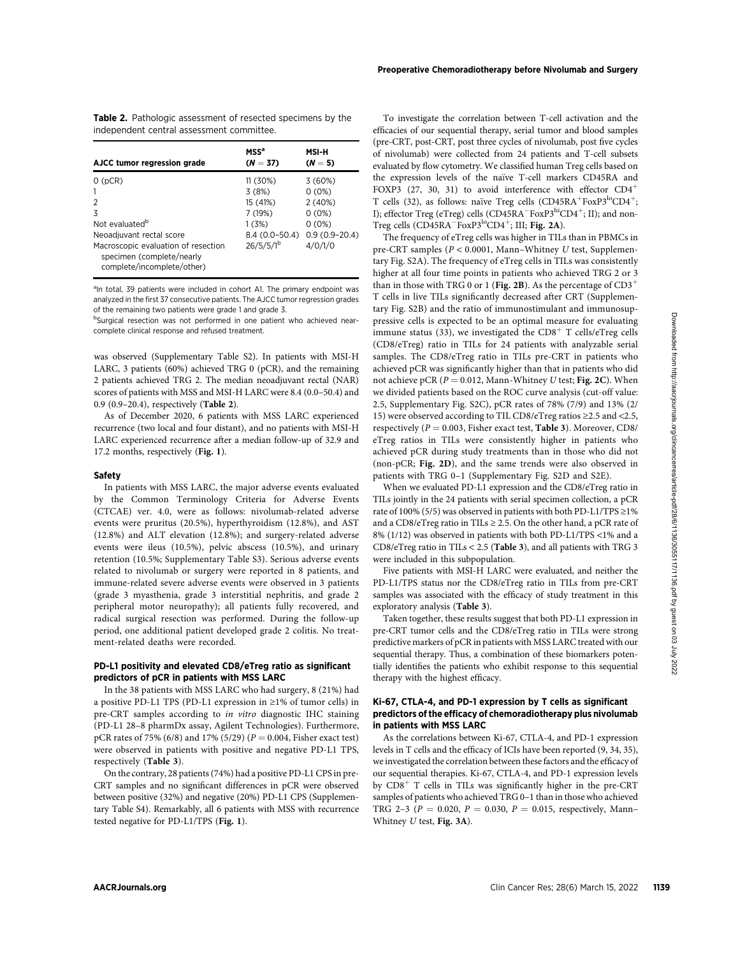| muependent central assessment committee.                                                       |                                |                   |  |
|------------------------------------------------------------------------------------------------|--------------------------------|-------------------|--|
| AJCC tumor regression grade                                                                    | MSS <sup>a</sup><br>$(N = 37)$ | MSI-H<br>$(N=5)$  |  |
| O(pCR)                                                                                         | 11 (30%)                       | 3(60%)            |  |
| 1                                                                                              | 3(8%)                          | 0(0%)             |  |
| 2                                                                                              | 15 (41%)                       | 2(40%)            |  |
| 3                                                                                              | 7 (19%)                        | $0(0\%)$          |  |
| Not evaluated <sup>b</sup>                                                                     | 1(3%)                          | $0(0\%)$          |  |
| Neoadjuvant rectal score                                                                       | $8.4(0.0 - 50.4)$              | $0.9(0.9 - 20.4)$ |  |
| Macroscopic evaluation of resection<br>specimen (complete/nearly<br>complete/incomplete/other) | $26/5/5/l^{b}$                 | 4/0/1/0           |  |

Table 2. Pathologic assessment of resected specimens by the independent central assessment committee.

<sup>a</sup>In total, 39 patients were included in cohort A1. The primary endpoint was analyzed in the first 37 consecutive patients. The AJCC tumor regression grades of the remaining two patients were grade 1 and grade 3.

<sup>b</sup>Surgical resection was not performed in one patient who achieved nearcomplete clinical response and refused treatment.

was observed (Supplementary Table S2). In patients with MSI-H LARC, 3 patients (60%) achieved TRG 0 (pCR), and the remaining 2 patients achieved TRG 2. The median neoadjuvant rectal (NAR) scores of patients with MSS and MSI-H LARC were 8.4 (0.0–50.4) and 0.9 (0.9–20.4), respectively (Table 2).

As of December 2020, 6 patients with MSS LARC experienced recurrence (two local and four distant), and no patients with MSI-H LARC experienced recurrence after a median follow-up of 32.9 and 17.2 months, respectively (Fig. 1).

#### Safety

In patients with MSS LARC, the major adverse events evaluated by the Common Terminology Criteria for Adverse Events (CTCAE) ver. 4.0, were as follows: nivolumab-related adverse events were pruritus (20.5%), hyperthyroidism (12.8%), and AST (12.8%) and ALT elevation (12.8%); and surgery-related adverse events were ileus (10.5%), pelvic abscess (10.5%), and urinary retention (10.5%; Supplementary Table S3). Serious adverse events related to nivolumab or surgery were reported in 8 patients, and immune-related severe adverse events were observed in 3 patients (grade 3 myasthenia, grade 3 interstitial nephritis, and grade 2 peripheral motor neuropathy); all patients fully recovered, and radical surgical resection was performed. During the follow-up period, one additional patient developed grade 2 colitis. No treatment-related deaths were recorded.

#### PD-L1 positivity and elevated CD8/eTreg ratio as significant predictors of pCR in patients with MSS LARC

In the 38 patients with MSS LARC who had surgery, 8 (21%) had a positive PD-L1 TPS (PD-L1 expression in ≥1% of tumor cells) in pre-CRT samples according to in vitro diagnostic IHC staining (PD-L1 28–8 pharmDx assay, Agilent Technologies). Furthermore, pCR rates of 75% (6/8) and 17% (5/29) ( $P = 0.004$ , Fisher exact test) were observed in patients with positive and negative PD-L1 TPS, respectively (Table 3).

On the contrary, 28 patients (74%) had a positive PD-L1 CPS in pre-CRT samples and no significant differences in pCR were observed between positive (32%) and negative (20%) PD-L1 CPS (Supplementary Table S4). Remarkably, all 6 patients with MSS with recurrence tested negative for PD-L1/TPS (Fig. 1).

Preoperative Chemoradiotherapy before Nivolumab and Surgery

evaluated by flow cytometry. We classified human Treg cells based on the expression levels of the naïve T-cell markers CD45RA and FOXP3 (27, 30, 31) to avoid interference with effector  $CD4^+$ T cells (32), as follows: naïve Treg cells (CD45RA<sup>+</sup>FoxP3<sup>lo</sup>CD4<sup>+</sup>; I); effector Treg (eTreg) cells (CD45RA<sup>-</sup>FoxP3<sup>hi</sup>CD4<sup>+</sup>; II); and non-Treg cells  $(CD45RA^-FoxP3^{lo}CD4^+; III; Fig. 2A)$ .

The frequency of eTreg cells was higher in TILs than in PBMCs in pre-CRT samples (P < 0.0001, Mann–Whitney U test, Supplementary Fig. S2A). The frequency of eTreg cells in TILs was consistently higher at all four time points in patients who achieved TRG 2 or 3 than in those with TRG 0 or 1 (Fig. 2B). As the percentage of  ${\rm CD3}^+$ T cells in live TILs significantly decreased after CRT (Supplementary Fig. S2B) and the ratio of immunostimulant and immunosuppressive cells is expected to be an optimal measure for evaluating immune status (33), we investigated the  $CD8<sup>+</sup>$  T cells/eTreg cells (CD8/eTreg) ratio in TILs for 24 patients with analyzable serial samples. The CD8/eTreg ratio in TILs pre-CRT in patients who achieved pCR was significantly higher than that in patients who did not achieve pCR ( $P = 0.012$ , Mann-Whitney U test; Fig. 2C). When we divided patients based on the ROC curve analysis (cut-off value: 2.5, Supplementary Fig. S2C), pCR rates of 78% (7/9) and 13% (2/ 15) were observed according to TIL CD8/eTreg ratios ≥2.5 and <2.5, respectively ( $P = 0.003$ , Fisher exact test, **Table 3**). Moreover, CD8/ eTreg ratios in TILs were consistently higher in patients who achieved pCR during study treatments than in those who did not (non-pCR; Fig. 2D), and the same trends were also observed in patients with TRG 0–1 (Supplementary Fig. S2D and S2E).

When we evaluated PD-L1 expression and the CD8/eTreg ratio in TILs jointly in the 24 patients with serial specimen collection, a pCR rate of 100% (5/5) was observed in patients with both PD-L1/TPS  $\geq$  1% and a CD8/eTreg ratio in TILs  $\geq$  2.5. On the other hand, a pCR rate of 8% (1/12) was observed in patients with both PD-L1/TPS <1% and a CD8/eTreg ratio in TILs < 2.5 (Table 3), and all patients with TRG 3 were included in this subpopulation.

Five patients with MSI-H LARC were evaluated, and neither the PD-L1/TPS status nor the CD8/eTreg ratio in TILs from pre-CRT samples was associated with the efficacy of study treatment in this exploratory analysis (Table 3).

Taken together, these results suggest that both PD-L1 expression in pre-CRT tumor cells and the CD8/eTreg ratio in TILs were strong predictive markers of pCR in patients with MSS LARC treated with our sequential therapy. Thus, a combination of these biomarkers potentially identifies the patients who exhibit response to this sequential therapy with the highest efficacy.

#### Ki-67, CTLA-4, and PD-1 expression by T cells as significant predictors of the efficacy of chemoradiotherapy plus nivolumab in patients with MSS LARC

As the correlations between Ki-67, CTLA-4, and PD-1 expression levels in T cells and the efficacy of ICIs have been reported (9, 34, 35), we investigated the correlation between these factors and the efficacy of our sequential therapies. Ki-67, CTLA-4, and PD-1 expression levels by  $CDS<sup>+</sup>$  T cells in TILs was significantly higher in the pre-CRT samples of patients who achieved TRG 0–1 than in those who achieved TRG 2-3 ( $P = 0.020$ ,  $P = 0.030$ ,  $P = 0.015$ , respectively, Mann– Whitney U test, Fig. 3A).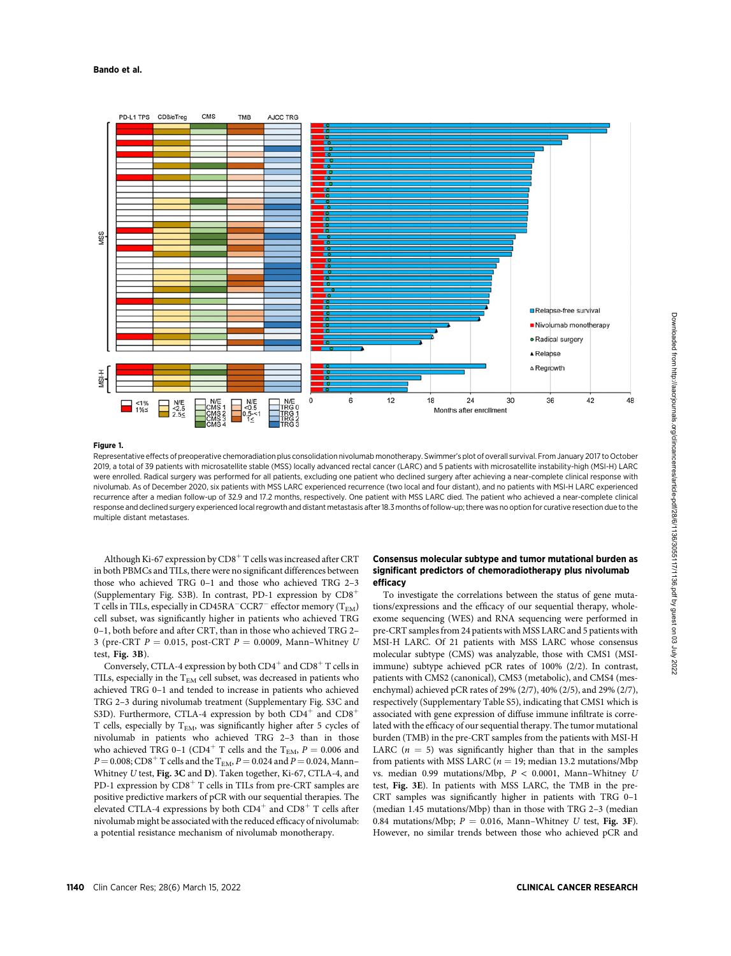Bando et al.



#### Figure 1.

Representative effects of preoperative chemoradiation plus consolidation nivolumab monotherapy. Swimmer's plot of overall survival. From January 2017 to October 2019, a total of 39 patients with microsatellite stable (MSS) locally advanced rectal cancer (LARC) and 5 patients with microsatellite instability-high (MSI-H) LARC were enrolled. Radical surgery was performed for all patients, excluding one patient who declined surgery after achieving a near-complete clinical response with nivolumab. As of December 2020, six patients with MSS LARC experienced recurrence (two local and four distant), and no patients with MSI-H LARC experienced recurrence after a median follow-up of 32.9 and 17.2 months, respectively. One patient with MSS LARC died. The patient who achieved a near-complete clinical response and declined surgery experienced local regrowth and distant metastasis after 18.3 months of follow-up; there was no option for curative resection due to the multiple distant metastases.

Although Ki-67 expression by  $CD8<sup>+</sup>$  T cells was increased after CRT in both PBMCs and TILs, there were no significant differences between those who achieved TRG 0–1 and those who achieved TRG 2–3 (Supplementary Fig. S3B). In contrast, PD-1 expression by  $CD8<sup>+</sup>$ T cells in TILs, especially in CD45RA<sup>-</sup>CCR7<sup>-</sup> effector memory ( $T_{EM}$ ) cell subset, was significantly higher in patients who achieved TRG 0–1, both before and after CRT, than in those who achieved TRG 2– 3 (pre-CRT  $P = 0.015$ , post-CRT  $P = 0.0009$ , Mann–Whitney U test, Fig. 3B).

Conversely, CTLA-4 expression by both  $CD4^+$  and  $CD8^+$  T cells in TILs, especially in the  $T_{EM}$  cell subset, was decreased in patients who achieved TRG 0–1 and tended to increase in patients who achieved TRG 2–3 during nivolumab treatment (Supplementary Fig. S3C and S3D). Furthermore, CTLA-4 expression by both  $CD4^+$  and  $CD8^+$ T cells, especially by  $T_{EM}$ , was significantly higher after 5 cycles of nivolumab in patients who achieved TRG 2–3 than in those who achieved TRG 0-1 (CD4<sup>+</sup> T cells and the T<sub>EM</sub>,  $P = 0.006$  and  $P =$  0.008; CD8 $^+$  T cells and the  ${\rm T_{EM}}, P =$  0.024 and  $P =$  0.024, Mann– Whitney U test, Fig. 3C and D). Taken together, Ki-67, CTLA-4, and PD-1 expression by  $CDS<sup>+</sup> T$  cells in TILs from pre-CRT samples are positive predictive markers of pCR with our sequential therapies. The elevated CTLA-4 expressions by both  $CD4^+$  and  $CD8^+$  T cells after nivolumab might be associated with the reduced efficacy of nivolumab: a potential resistance mechanism of nivolumab monotherapy.

#### Consensus molecular subtype and tumor mutational burden as significant predictors of chemoradiotherapy plus nivolumab efficacy

To investigate the correlations between the status of gene mutations/expressions and the efficacy of our sequential therapy, wholeexome sequencing (WES) and RNA sequencing were performed in pre-CRT samples from 24 patients with MSS LARC and 5 patients with MSI-H LARC. Of 21 patients with MSS LARC whose consensus molecular subtype (CMS) was analyzable, those with CMS1 (MSIimmune) subtype achieved pCR rates of 100% (2/2). In contrast, patients with CMS2 (canonical), CMS3 (metabolic), and CMS4 (mesenchymal) achieved pCR rates of 29% (2/7), 40% (2/5), and 29% (2/7), respectively (Supplementary Table S5), indicating that CMS1 which is associated with gene expression of diffuse immune infiltrate is correlated with the efficacy of our sequential therapy. The tumor mutational burden (TMB) in the pre-CRT samples from the patients with MSI-H LARC  $(n = 5)$  was significantly higher than that in the samples from patients with MSS LARC ( $n = 19$ ; median 13.2 mutations/Mbp vs. median 0.99 mutations/Mbp, P < 0.0001, Mann–Whitney U test, Fig. 3E). In patients with MSS LARC, the TMB in the pre-CRT samples was significantly higher in patients with TRG 0–1 (median 1.45 mutations/Mbp) than in those with TRG 2–3 (median 0.84 mutations/Mbp;  $P = 0.016$ , Mann-Whitney U test, Fig. 3F). However, no similar trends between those who achieved pCR and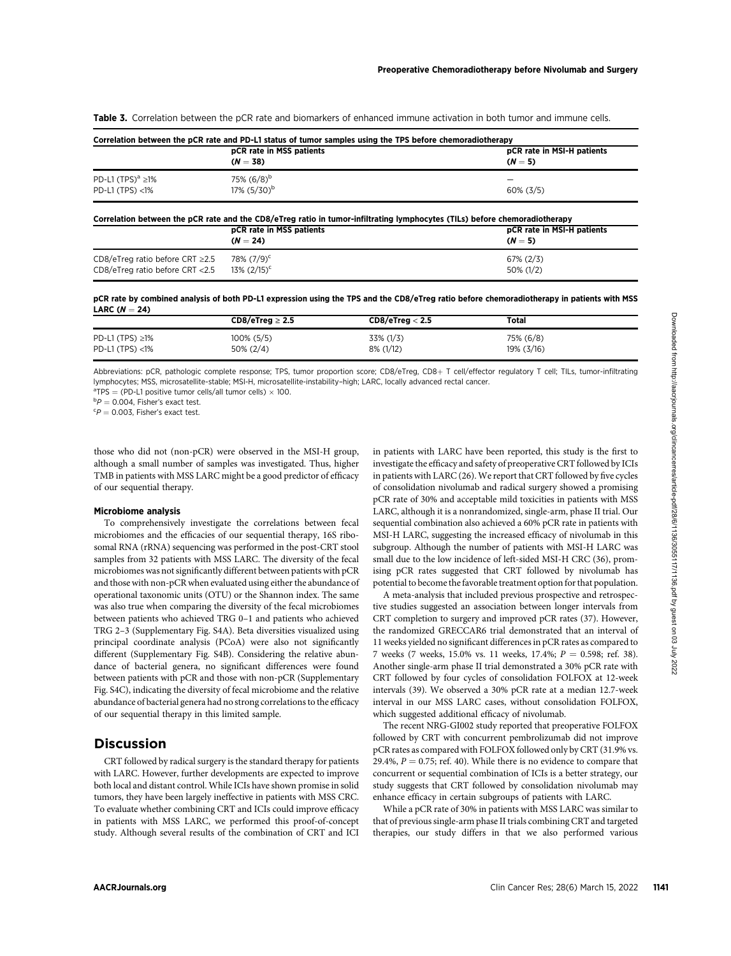Table 3. Correlation between the pCR rate and biomarkers of enhanced immune activation in both tumor and immune cells.

|                         | pCR rate in MSS patients   | pCR rate in MSI-H patients |
|-------------------------|----------------------------|----------------------------|
|                         | $(N = 38)$                 | $(N=5)$                    |
| PD-L1 $(TPS)^a \ge 1\%$ | 75% $(6/8)^b$              | -                          |
| $PD-L1$ (TPS) $<1\%$    | $17\%$ (5/30) <sup>b</sup> | $60\%$ (3/5)               |

| Correlation between the pCR rate and the CD8/eTreg ratio in tumor-infiltrating lymphocytes (TILs) before chemoradiotherapy |                            |                            |  |  |
|----------------------------------------------------------------------------------------------------------------------------|----------------------------|----------------------------|--|--|
|                                                                                                                            | pCR rate in MSS patients   | pCR rate in MSI-H patients |  |  |
|                                                                                                                            | $(N = 24)$                 | $(N=5)$                    |  |  |
| CD8/eTreg ratio before CRT $\geq$ 2.5                                                                                      | $78\% (7/9)^c$             | $67\% (2/3)$               |  |  |
| CD8/eTreg ratio before CRT <2.5                                                                                            | $13\%$ (2/15) <sup>c</sup> | 50% (1/2)                  |  |  |

pCR rate by combined analysis of both PD-L1 expression using the TPS and the CD8/eTreg ratio before chemoradiotherapy in patients with MSS LARC  $(N = 24)$ 

|                                               | $CD8/eTreg \geq 2.5$          | CD8/eTreg < 2.5        | Total                      |  |
|-----------------------------------------------|-------------------------------|------------------------|----------------------------|--|
| PD-L1 (TPS) $\geq$ 1%<br>$PD-L1$ (TPS) $<$ 1% | $100\% (5/5)$<br>$50\% (2/4)$ | 33% (1/3)<br>8% (1/12) | 75% (6/8)<br>$19\%$ (3/16) |  |
|                                               |                               |                        |                            |  |

Abbreviations: pCR, pathologic complete response; TPS, tumor proportion score; CD8/eTreg, CD8+ T cell/effector regulatory T cell; TILs, tumor-infiltrating lymphocytes; MSS, microsatellite-stable; MSI-H, microsatellite-instability–high; LARC, locally advanced rectal cancer.

 ${}^{\text{a}}$ TPS = (PD-L1 positive tumor cells/all tumor cells)  $\times$  100.

 ${}^{b}P = 0.004$ , Fisher's exact test.<br> ${}^{c}P = 0.003$ , Fisher's exact test.

 ${}^cP = 0.003$ . Fisher's exact test.

those who did not (non-pCR) were observed in the MSI-H group, although a small number of samples was investigated. Thus, higher TMB in patients with MSS LARC might be a good predictor of efficacy of our sequential therapy.

#### Microbiome analysis

To comprehensively investigate the correlations between fecal microbiomes and the efficacies of our sequential therapy, 16S ribosomal RNA (rRNA) sequencing was performed in the post-CRT stool samples from 32 patients with MSS LARC. The diversity of the fecal microbiomes was not significantly different between patients with pCR and those with non-pCR when evaluated using either the abundance of operational taxonomic units (OTU) or the Shannon index. The same was also true when comparing the diversity of the fecal microbiomes between patients who achieved TRG 0–1 and patients who achieved TRG 2–3 (Supplementary Fig. S4A). Beta diversities visualized using principal coordinate analysis (PCoA) were also not significantly different (Supplementary Fig. S4B). Considering the relative abundance of bacterial genera, no significant differences were found between patients with pCR and those with non-pCR (Supplementary Fig. S4C), indicating the diversity of fecal microbiome and the relative abundance of bacterial genera had no strong correlations to the efficacy of our sequential therapy in this limited sample.

### **Discussion**

CRT followed by radical surgery is the standard therapy for patients with LARC. However, further developments are expected to improve both local and distant control. While ICIs have shown promise in solid tumors, they have been largely ineffective in patients with MSS CRC. To evaluate whether combining CRT and ICIs could improve efficacy in patients with MSS LARC, we performed this proof-of-concept study. Although several results of the combination of CRT and ICI in patients with LARC have been reported, this study is the first to investigate the efficacy and safety of preoperative CRT followed by ICIs in patients with LARC (26). We report that CRT followed by five cycles of consolidation nivolumab and radical surgery showed a promising pCR rate of 30% and acceptable mild toxicities in patients with MSS LARC, although it is a nonrandomized, single-arm, phase II trial. Our sequential combination also achieved a 60% pCR rate in patients with MSI-H LARC, suggesting the increased efficacy of nivolumab in this subgroup. Although the number of patients with MSI-H LARC was small due to the low incidence of left-sided MSI-H CRC (36), promising pCR rates suggested that CRT followed by nivolumab has potential to become the favorable treatment option for that population.

A meta-analysis that included previous prospective and retrospective studies suggested an association between longer intervals from CRT completion to surgery and improved pCR rates (37). However, the randomized GRECCAR6 trial demonstrated that an interval of 11 weeks yielded no significant differences in pCR rates as compared to 7 weeks (7 weeks, 15.0% vs. 11 weeks, 17.4%;  $P = 0.598$ ; ref. 38). Another single-arm phase II trial demonstrated a 30% pCR rate with CRT followed by four cycles of consolidation FOLFOX at 12-week intervals (39). We observed a 30% pCR rate at a median 12.7-week interval in our MSS LARC cases, without consolidation FOLFOX, which suggested additional efficacy of nivolumab.

The recent NRG-GI002 study reported that preoperative FOLFOX followed by CRT with concurrent pembrolizumab did not improve pCR rates as compared with FOLFOX followed only by CRT (31.9% vs. 29.4%,  $P = 0.75$ ; ref. 40). While there is no evidence to compare that concurrent or sequential combination of ICIs is a better strategy, our study suggests that CRT followed by consolidation nivolumab may enhance efficacy in certain subgroups of patients with LARC.

While a pCR rate of 30% in patients with MSS LARC was similar to that of previous single-arm phase II trials combining CRT and targeted therapies, our study differs in that we also performed various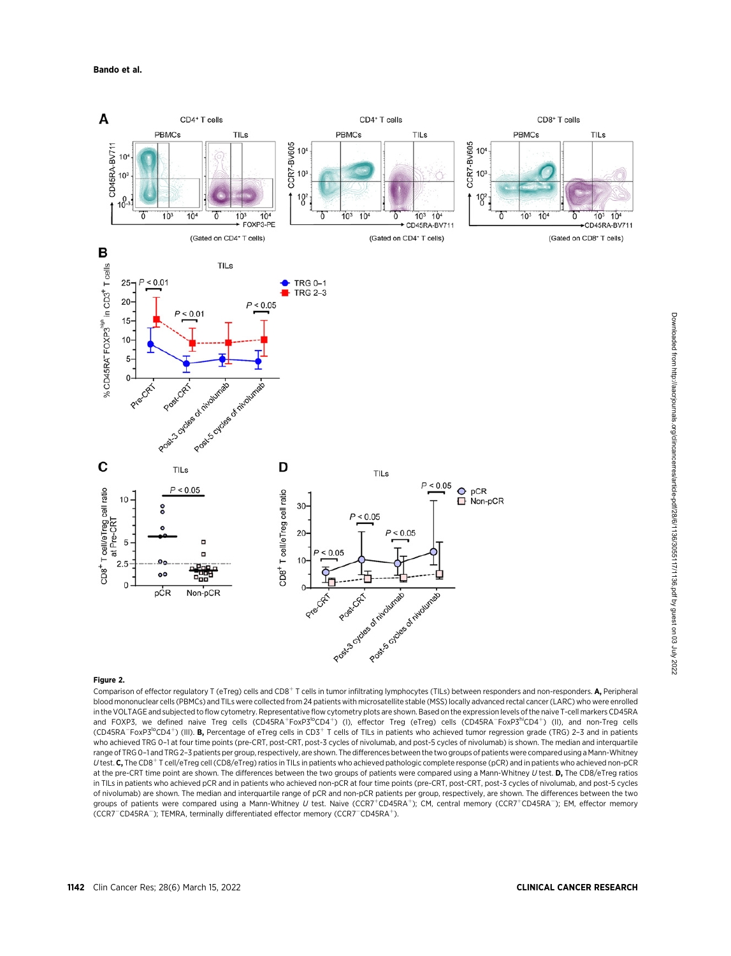

#### Figure 2.

Comparison of effector regulatory T (eTreg) cells and CD8<sup>+</sup> T cells in tumor infiltrating lymphocytes (TILs) between responders and non-responders. A, Peripheral blood mononuclear cells (PBMCs) and TILs were collected from 24 patients with microsatellite stable (MSS) locally advanced rectal cancer (LARC) who were enrolled in the VOLTAGE and subjected to flow cytometry. Representative flow cytometry plots are shown. Based on the expression levels of the naive T-cell markers CD45RA and FOXP3, we defined naive Treg cells (CD45RA<sup>+</sup>FoxP3<sup>lo</sup>CD4<sup>+</sup>) (I), effector Treg (eTreg) cells (CD45RA<sup>-F</sup>oxP3<sup>hi</sup>CD4<sup>+</sup>) (II), and non-Treg cells (CD45RA<sup>-</sup>FoxP3<sup>lo</sup>CD4<sup>+</sup>) (III). **B,** Percentage of eTreg cells in CD3<sup>+</sup> T cells of TILs in patients who achieved tumor regression grade (TRG) 2-3 and in patients who achieved TRG 0-1 at four time points (pre-CRT, post-CRT, post-3 cycles of nivolumab, and post-5 cycles of nivolumab) is shown. The median and interquartile range of TRG 0-1 and TRG 2-3 patients per group, respectively, are shown. The differences between the two groups of patients were compared using a Mann-Whitney U test. C, The CD8<sup>+</sup> T cell/eTreg cell (CD8/eTreg) ratios in TILs in patients who achieved pathologic complete response (pCR) and in patients who achieved non-pCR at the pre-CRT time point are shown. The differences between the two groups of patients were compared using a Mann-Whitney U test. D, The CD8/eTreg ratios in TILs in patients who achieved pCR and in patients who achieved non-pCR at four time points (pre-CRT, post-CRT, post-3 cycles of nivolumab, and post-5 cycles of nivolumab) are shown. The median and interquartile range of pCR and non-pCR patients per group, respectively, are shown. The differences between the two groups of patients were compared using a Mann-Whitney U test. Naive (CCR7+CD45RA+); CM, central memory (CCR7+CD45RA-); EM, effector memory (CCR7<sup>-</sup>CD45RA<sup>-</sup>); TEMRA, terminally differentiated effector memory (CCR7<sup>-</sup>CD45RA<sup>+</sup>).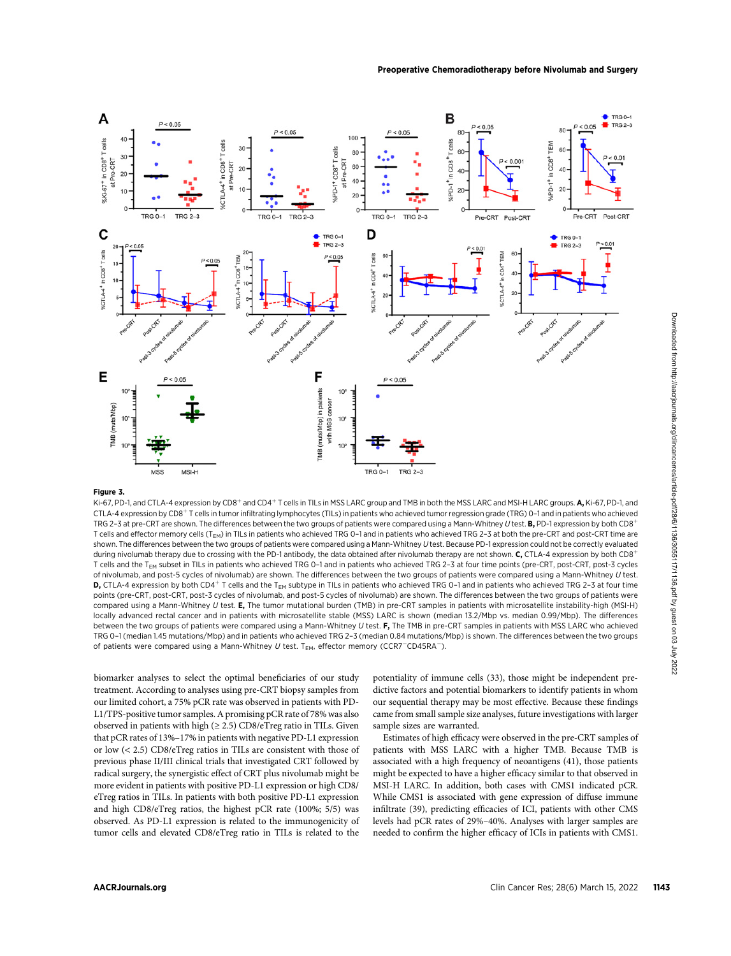

#### Figure 3.

Ki-67, PD-1, and CTLA-4 expression by CD8<sup>+</sup> and CD4<sup>+</sup> T cells in TILs in MSS LARC group and TMB in both the MSS LARC and MSI-H LARC groups. **A**, Ki-67, PD-1, and CTLA-4 expression by CD8<sup>+</sup> T cells in tumor infiltrating lymphocytes (TILs) in patients who achieved tumor regression grade (TRG) 0-1 and in patients who achieved TRG 2-3 at pre-CRT are shown. The differences between the two groups of patients were compared using a Mann-Whitney U test. B, PD-1 expression by both CD8<sup>+</sup> T cells and effector memory cells (T<sub>EM</sub>) in TILs in patients who achieved TRG 0-1 and in patients who achieved TRG 2-3 at both the pre-CRT and post-CRT time are shown. The differences between the two groups of patients were compared using a Mann-Whitney U test. Because PD-1 expression could not be correctly evaluated during nivolumab therapy due to crossing with the PD-1 antibody, the data obtained after nivolumab therapy are not shown. C, CTLA-4 expression by both CD8<sup>+</sup> T cells and the T<sub>EM</sub> subset in TILs in patients who achieved TRG 0-1 and in patients who achieved TRG 2-3 at four time points (pre-CRT, post-CRT, post-3 cycles of nivolumab, and post-5 cycles of nivolumab) are shown. The differences between the two groups of patients were compared using a Mann-Whitney U test. **D,** CTLA-4 expression by both CD4<sup>+</sup> T cells and the T<sub>EM</sub> subtype in TILs in patients who achieved TRG 0-1 and in patients who achieved TRG 2-3 at four time points (pre-CRT, post-CRT, post-3 cycles of nivolumab, and post-5 cycles of nivolumab) are shown. The differences between the two groups of patients were compared using a Mann-Whitney U test. E, The tumor mutational burden (TMB) in pre-CRT samples in patients with microsatellite instability-high (MSI-H) locally advanced rectal cancer and in patients with microsatellite stable (MSS) LARC is shown (median 13.2/Mbp vs. median 0.99/Mbp). The differences between the two groups of patients were compared using a Mann-Whitney U test. F. The TMB in pre-CRT samples in patients with MSS LARC who achieved TRG 0–1 (median 1.45 mutations/Mbp) and in patients who achieved TRG 2–3 (median 0.84 mutations/Mbp) is shown. The differences between the two groups of patients were compared using a Mann-Whitney U test.  $T_{EM}$ , effector memory (CCR7<sup>-</sup>CD45RA<sup>-</sup>).

biomarker analyses to select the optimal beneficiaries of our study treatment. According to analyses using pre-CRT biopsy samples from our limited cohort, a 75% pCR rate was observed in patients with PD-L1/TPS-positive tumor samples. A promising pCR rate of 78% was also observed in patients with high  $(\geq 2.5)$  CD8/eTreg ratio in TILs. Given that pCR rates of 13%–17% in patients with negative PD-L1 expression or low (< 2.5) CD8/eTreg ratios in TILs are consistent with those of previous phase II/III clinical trials that investigated CRT followed by radical surgery, the synergistic effect of CRT plus nivolumab might be more evident in patients with positive PD-L1 expression or high CD8/ eTreg ratios in TILs. In patients with both positive PD-L1 expression and high CD8/eTreg ratios, the highest pCR rate (100%; 5/5) was observed. As PD-L1 expression is related to the immunogenicity of tumor cells and elevated CD8/eTreg ratio in TILs is related to the potentiality of immune cells (33), those might be independent predictive factors and potential biomarkers to identify patients in whom our sequential therapy may be most effective. Because these findings came from small sample size analyses, future investigations with larger sample sizes are warranted.

Estimates of high efficacy were observed in the pre-CRT samples of patients with MSS LARC with a higher TMB. Because TMB is associated with a high frequency of neoantigens (41), those patients might be expected to have a higher efficacy similar to that observed in MSI-H LARC. In addition, both cases with CMS1 indicated pCR. While CMS1 is associated with gene expression of diffuse immune infiltrate (39), predicting efficacies of ICI, patients with other CMS levels had pCR rates of 29%–40%. Analyses with larger samples are needed to confirm the higher efficacy of ICIs in patients with CMS1.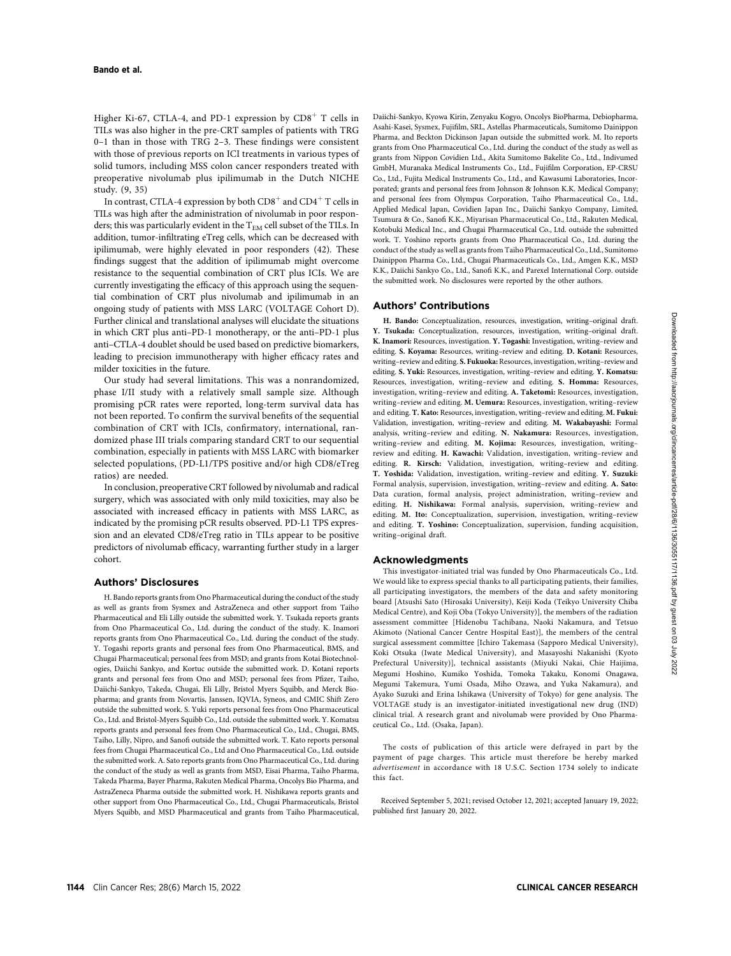Higher Ki-67, CTLA-4, and PD-1 expression by  $CD8<sup>+</sup>$  T cells in TILs was also higher in the pre-CRT samples of patients with TRG 0–1 than in those with TRG 2–3. These findings were consistent with those of previous reports on ICI treatments in various types of solid tumors, including MSS colon cancer responders treated with preoperative nivolumab plus ipilimumab in the Dutch NICHE study. (9, 35)

In contrast, CTLA-4 expression by both  $CD8^+$  and  $CD4^+$  T cells in TILs was high after the administration of nivolumab in poor responders; this was particularly evident in the T<sub>EM</sub> cell subset of the TILs. In addition, tumor-infiltrating eTreg cells, which can be decreased with ipilimumab, were highly elevated in poor responders (42). These findings suggest that the addition of ipilimumab might overcome resistance to the sequential combination of CRT plus ICIs. We are currently investigating the efficacy of this approach using the sequential combination of CRT plus nivolumab and ipilimumab in an ongoing study of patients with MSS LARC (VOLTAGE Cohort D). Further clinical and translational analyses will elucidate the situations in which CRT plus anti–PD-1 monotherapy, or the anti–PD-1 plus anti–CTLA-4 doublet should be used based on predictive biomarkers, leading to precision immunotherapy with higher efficacy rates and milder toxicities in the future.

Our study had several limitations. This was a nonrandomized, phase I/II study with a relatively small sample size. Although promising pCR rates were reported, long-term survival data has not been reported. To confirm the survival benefits of the sequential combination of CRT with ICIs, confirmatory, international, randomized phase III trials comparing standard CRT to our sequential combination, especially in patients with MSS LARC with biomarker selected populations, (PD-L1/TPS positive and/or high CD8/eTreg ratios) are needed.

In conclusion, preoperative CRT followed by nivolumab and radical surgery, which was associated with only mild toxicities, may also be associated with increased efficacy in patients with MSS LARC, as indicated by the promising pCR results observed. PD-L1 TPS expression and an elevated CD8/eTreg ratio in TILs appear to be positive predictors of nivolumab efficacy, warranting further study in a larger cohort.

#### Authors' Disclosures

H. Bando reports grants from Ono Pharmaceutical during the conduct of the study as well as grants from Sysmex and AstraZeneca and other support from Taiho Pharmaceutical and Eli Lilly outside the submitted work. Y. Tsukada reports grants from Ono Pharmaceutical Co., Ltd. during the conduct of the study. K. Inamori reports grants from Ono Pharmaceutical Co., Ltd. during the conduct of the study. Y. Togashi reports grants and personal fees from Ono Pharmaceutical, BMS, and Chugai Pharmaceutical; personal fees from MSD; and grants from Kotai Biotechnologies, Daiichi Sankyo, and Kortuc outside the submitted work. D. Kotani reports grants and personal fees from Ono and MSD; personal fees from Pfizer, Taiho, Daiichi-Sankyo, Takeda, Chugai, Eli Lilly, Bristol Myers Squibb, and Merck Biopharma; and grants from Novartis, Janssen, IQVIA, Syneos, and CMIC Shift Zero outside the submitted work. S. Yuki reports personal fees from Ono Pharmaceutical Co., Ltd. and Bristol-Myers Squibb Co., Ltd. outside the submitted work. Y. Komatsu reports grants and personal fees from Ono Pharmaceutical Co., Ltd., Chugai, BMS, Taiho, Lilly, Nipro, and Sanofi outside the submitted work. T. Kato reports personal fees from Chugai Pharmaceutical Co., Ltd and Ono Pharmaceutical Co., Ltd. outside the submitted work. A. Sato reports grants from Ono Pharmaceutical Co., Ltd. during the conduct of the study as well as grants from MSD, Eisai Pharma, Taiho Pharma, Takeda Pharma, Bayer Pharma, Rakuten Medical Pharma, Oncolys Bio Pharma, and AstraZeneca Pharma outside the submitted work. H. Nishikawa reports grants and other support from Ono Pharmaceutical Co., Ltd., Chugai Pharmaceuticals, Bristol Myers Squibb, and MSD Pharmaceutical and grants from Taiho Pharmaceutical, Daiichi-Sankyo, Kyowa Kirin, Zenyaku Kogyo, Oncolys BioPharma, Debiopharma, Asahi-Kasei, Sysmex, Fujifilm, SRL, Astellas Pharmaceuticals, Sumitomo Dainippon Pharma, and Beckton Dickinson Japan outside the submitted work. M. Ito reports grants from Ono Pharmaceutical Co., Ltd. during the conduct of the study as well as grants from Nippon Covidien Ltd., Akita Sumitomo Bakelite Co., Ltd., Indivumed GmbH, Muranaka Medical Instruments Co., Ltd., Fujifilm Corporation, EP-CRSU Co., Ltd., Fujita Medical Instruments Co., Ltd., and Kawasumi Laboratories, Incorporated; grants and personal fees from Johnson & Johnson K.K. Medical Company; and personal fees from Olympus Corporation, Taiho Pharmaceutical Co., Ltd., Applied Medical Japan, Covidien Japan Inc., Daiichi Sankyo Company, Limited, Tsumura & Co., Sanofi K.K., Miyarisan Pharmaceutical Co., Ltd., Rakuten Medical, Kotobuki Medical Inc., and Chugai Pharmaceutical Co., Ltd. outside the submitted work. T. Yoshino reports grants from Ono Pharmaceutical Co., Ltd. during the conduct of the study as well as grants from Taiho Pharmaceutical Co., Ltd., Sumitomo Dainippon Pharma Co., Ltd., Chugai Pharmaceuticals Co., Ltd., Amgen K.K., MSD K.K., Daiichi Sankyo Co., Ltd., Sanofi K.K., and Parexel International Corp. outside the submitted work. No disclosures were reported by the other authors.

#### Authors' Contributions

H. Bando: Conceptualization, resources, investigation, writing–original draft. Y. Tsukada: Conceptualization, resources, investigation, writing–original draft. K. Inamori: Resources, investigation. Y. Togashi: Investigation, writing–review and editing. S. Koyama: Resources, writing–review and editing. D. Kotani: Resources, writing–review and editing. S. Fukuoka: Resources, investigation, writing–review and editing. S. Yuki: Resources, investigation, writing–review and editing. Y. Komatsu: Resources, investigation, writing–review and editing. S. Homma: Resources, investigation, writing–review and editing. A. Taketomi: Resources, investigation, writing–review and editing. M. Uemura: Resources, investigation, writing–review and editing. T. Kato: Resources, investigation, writing–review and editing. M. Fukui: Validation, investigation, writing–review and editing. M. Wakabayashi: Formal analysis, writing–review and editing. N. Nakamura: Resources, investigation, writing–review and editing. M. Kojima: Resources, investigation, writing– review and editing. H. Kawachi: Validation, investigation, writing–review and editing. R. Kirsch: Validation, investigation, writing–review and editing. T. Yoshida: Validation, investigation, writing–review and editing. Y. Suzuki: Formal analysis, supervision, investigation, writing–review and editing. A. Sato: Data curation, formal analysis, project administration, writing–review and editing. H. Nishikawa: Formal analysis, supervision, writing–review and editing. M. Ito: Conceptualization, supervision, investigation, writing–review and editing. T. Yoshino: Conceptualization, supervision, funding acquisition, writing–original draft.

#### Acknowledgments

This investigator-initiated trial was funded by Ono Pharmaceuticals Co., Ltd. We would like to express special thanks to all participating patients, their families, all participating investigators, the members of the data and safety monitoring board [Atsushi Sato (Hirosaki University), Keiji Koda (Teikyo University Chiba Medical Centre), and Koji Oba (Tokyo University)], the members of the radiation assessment committee [Hidenobu Tachibana, Naoki Nakamura, and Tetsuo Akimoto (National Cancer Centre Hospital East)], the members of the central surgical assessment committee [Ichiro Takemasa (Sapporo Medical University), Koki Otsuka (Iwate Medical University), and Masayoshi Nakanishi (Kyoto Prefectural University)], technical assistants (Miyuki Nakai, Chie Haijima, Megumi Hoshino, Kumiko Yoshida, Tomoka Takaku, Konomi Onagawa, Megumi Takemura, Yumi Osada, Miho Ozawa, and Yuka Nakamura), and Ayako Suzuki and Erina Ishikawa (University of Tokyo) for gene analysis. The VOLTAGE study is an investigator-initiated investigational new drug (IND) clinical trial. A research grant and nivolumab were provided by Ono Pharmaceutical Co., Ltd. (Osaka, Japan).

The costs of publication of this article were defrayed in part by the payment of page charges. This article must therefore be hereby marked advertisement in accordance with 18 U.S.C. Section 1734 solely to indicate this fact.

Received September 5, 2021; revised October 12, 2021; accepted January 19, 2022; published first January 20, 2022.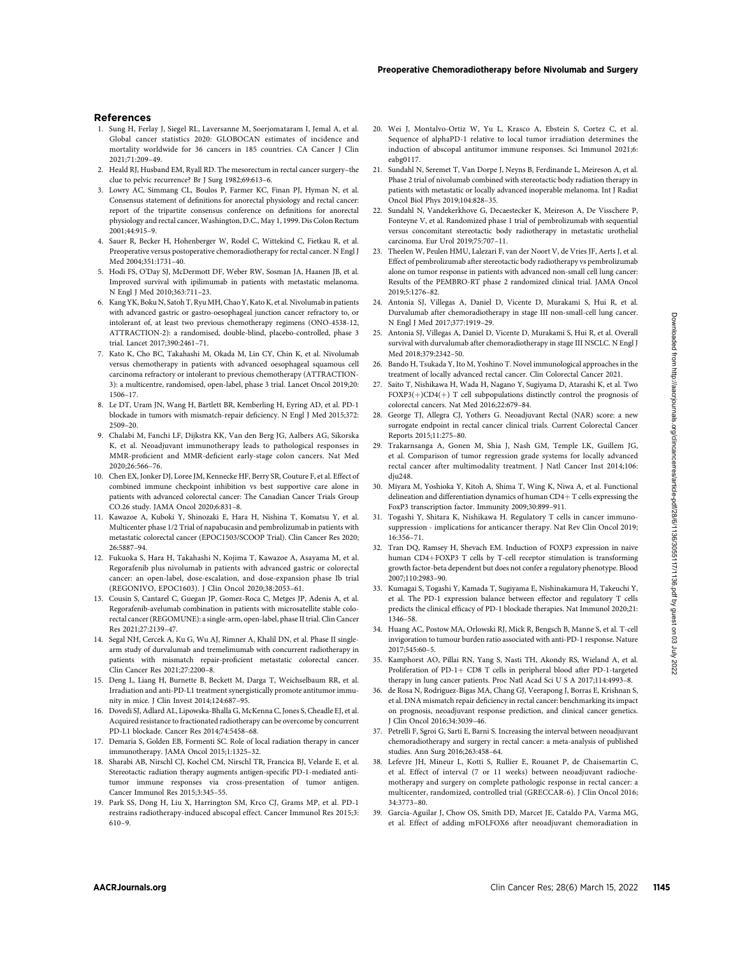- 1. Sung H, Ferlay J, Siegel RL, Laversanne M, Soerjomataram I, Jemal A, et al. Global cancer statistics 2020: GLOBOCAN estimates of incidence and mortality worldwide for 36 cancers in 185 countries. CA Cancer J Clin 2021;71:209–49.
- 2. Heald RJ, Husband EM, Ryall RD. The mesorectum in rectal cancer surgery–the clue to pelvic recurrence? Br J Surg 1982;69:613–6.
- 3. Lowry AC, Simmang CL, Boulos P, Farmer KC, Finan PJ, Hyman N, et al. Consensus statement of definitions for anorectal physiology and rectal cancer: report of the tripartite consensus conference on definitions for anorectal physiology and rectal cancer, Washington, D.C., May 1, 1999. Dis Colon Rectum 2001;44:915–9.
- 4. Sauer R, Becker H, Hohenberger W, Rodel C, Wittekind C, Fietkau R, et al. Preoperative versus postoperative chemoradiotherapy for rectal cancer. N Engl J Med 2004;351:1731–40.
- 5. Hodi FS, O'Day SJ, McDermott DF, Weber RW, Sosman JA, Haanen JB, et al. Improved survival with ipilimumab in patients with metastatic melanoma. N Engl J Med 2010;363:711–23.
- 6. Kang YK, Boku N, Satoh T, Ryu MH, Chao Y, Kato K, et al. Nivolumab in patients with advanced gastric or gastro-oesophageal junction cancer refractory to, or intolerant of, at least two previous chemotherapy regimens (ONO-4538-12, ATTRACTION-2): a randomised, double-blind, placebo-controlled, phase 3 trial. Lancet 2017;390:2461–71.
- 7. Kato K, Cho BC, Takahashi M, Okada M, Lin CY, Chin K, et al. Nivolumab versus chemotherapy in patients with advanced oesophageal squamous cell carcinoma refractory or intolerant to previous chemotherapy (ATTRACTION-3): a multicentre, randomised, open-label, phase 3 trial. Lancet Oncol 2019;20: 1506–17.
- 8. Le DT, Uram JN, Wang H, Bartlett BR, Kemberling H, Eyring AD, et al. PD-1 blockade in tumors with mismatch-repair deficiency. N Engl J Med 2015;372: 2509–20.
- 9. Chalabi M, Fanchi LF, Dijkstra KK, Van den Berg JG, Aalbers AG, Sikorska K, et al. Neoadjuvant immunotherapy leads to pathological responses in MMR-proficient and MMR-deficient early-stage colon cancers. Nat Med 2020;26:566–76.
- 10. Chen EX, Jonker DJ, Loree JM, Kennecke HF, Berry SR, Couture F, et al. Effect of combined immune checkpoint inhibition vs best supportive care alone in patients with advanced colorectal cancer: The Canadian Cancer Trials Group CO.26 study. JAMA Oncol 2020;6:831–8.
- 11. Kawazoe A, Kuboki Y, Shinozaki E, Hara H, Nishina T, Komatsu Y, et al. Multicenter phase 1/2 Trial of napabucasin and pembrolizumab in patients with metastatic colorectal cancer (EPOC1503/SCOOP Trial). Clin Cancer Res 2020; 26:5887–94.
- 12. Fukuoka S, Hara H, Takahashi N, Kojima T, Kawazoe A, Asayama M, et al. Regorafenib plus nivolumab in patients with advanced gastric or colorectal cancer: an open-label, dose-escalation, and dose-expansion phase Ib trial (REGONIVO, EPOC1603). J Clin Oncol 2020;38:2053–61.
- 13. Cousin S, Cantarel C, Guegan JP, Gomez-Roca C, Metges JP, Adenis A, et al. Regorafenib-avelumab combination in patients with microsatellite stable colorectal cancer (REGOMUNE): a single-arm, open-label, phase II trial. Clin Cancer Res 2021;27:2139–47.
- 14. Segal NH, Cercek A, Ku G, Wu AJ, Rimner A, Khalil DN, et al. Phase II singlearm study of durvalumab and tremelimumab with concurrent radiotherapy in patients with mismatch repair-proficient metastatic colorectal cancer. Clin Cancer Res 2021;27:2200–8.
- 15. Deng L, Liang H, Burnette B, Beckett M, Darga T, Weichselbaum RR, et al. Irradiation and anti-PD-L1 treatment synergistically promote antitumor immunity in mice. J Clin Invest 2014;124:687–95.
- 16. Dovedi SJ, Adlard AL, Lipowska-Bhalla G, McKenna C, Jones S, Cheadle EJ, et al. Acquired resistance to fractionated radiotherapy can be overcome by concurrent PD-L1 blockade. Cancer Res 2014;74:5458–68.
- 17. Demaria S, Golden EB, Formenti SC. Role of local radiation therapy in cancer immunotherapy. JAMA Oncol 2015;1:1325–32.
- 18. Sharabi AB, Nirschl CJ, Kochel CM, Nirschl TR, Francica BJ, Velarde E, et al. Stereotactic radiation therapy augments antigen-specific PD-1-mediated antitumor immune responses via cross-presentation of tumor antigen. Cancer Immunol Res 2015;3:345–55.
- 19. Park SS, Dong H, Liu X, Harrington SM, Krco CJ, Grams MP, et al. PD-1 restrains radiotherapy-induced abscopal effect. Cancer Immunol Res 2015;3: 610–9.
- 20. Wei J, Montalvo-Ortiz W, Yu L, Krasco A, Ebstein S, Cortez C, et al. Sequence of alphaPD-1 relative to local tumor irradiation determines the induction of abscopal antitumor immune responses. Sci Immunol 2021;6: eabg0117.
- 21. Sundahl N, Seremet T, Van Dorpe J, Neyns B, Ferdinande L, Meireson A, et al. Phase 2 trial of nivolumab combined with stereotactic body radiation therapy in patients with metastatic or locally advanced inoperable melanoma. Int J Radiat Oncol Biol Phys 2019;104:828–35.
- 22. Sundahl N, Vandekerkhove G, Decaestecker K, Meireson A, De Visschere P, Fonteyne V, et al. Randomized phase 1 trial of pembrolizumab with sequential versus concomitant stereotactic body radiotherapy in metastatic urothelial carcinoma. Eur Urol 2019;75:707–11.
- 23. Theelen W, Peulen HMU, Lalezari F, van der Noort V, de Vries JF, Aerts J, et al. Effect of pembrolizumab after stereotactic body radiotherapy vs pembrolizumab alone on tumor response in patients with advanced non-small cell lung cancer: Results of the PEMBRO-RT phase 2 randomized clinical trial. JAMA Oncol 2019;5:1276–82.
- 24. Antonia SJ, Villegas A, Daniel D, Vicente D, Murakami S, Hui R, et al. Durvalumab after chemoradiotherapy in stage III non-small-cell lung cancer. N Engl J Med 2017;377:1919–29.
- 25. Antonia SJ, Villegas A, Daniel D, Vicente D, Murakami S, Hui R, et al. Overall survival with durvalumab after chemoradiotherapy in stage III NSCLC. N Engl J Med 2018;379:2342–50.
- 26. Bando H, Tsukada Y, Ito M, Yoshino T. Novel immunological approaches in the treatment of locally advanced rectal cancer. Clin Colorectal Cancer 2021.
- 27. Saito T, Nishikawa H, Wada H, Nagano Y, Sugiyama D, Atarashi K, et al. Two  $FOXP3(+)CD4(+)$  T cell subpopulations distinctly control the prognosis of colorectal cancers. Nat Med 2016;22:679–84.
- 28. George TJ, Allegra CJ, Yothers G. Neoadjuvant Rectal (NAR) score: a new surrogate endpoint in rectal cancer clinical trials. Current Colorectal Cancer Reports 2015;11:275–80.
- 29. Trakarnsanga A, Gonen M, Shia J, Nash GM, Temple LK, Guillem JG, et al. Comparison of tumor regression grade systems for locally advanced rectal cancer after multimodality treatment. J Natl Cancer Inst 2014;106: dju248.
- 30. Miyara M, Yoshioka Y, Kitoh A, Shima T, Wing K, Niwa A, et al. Functional delineation and differentiation dynamics of human  $CD4+T$  cells expressing the FoxP3 transcription factor. Immunity 2009;30:899–911.
- 31. Togashi Y, Shitara K, Nishikawa H. Regulatory T cells in cancer immunosuppression - implications for anticancer therapy. Nat Rev Clin Oncol 2019; 16:356–71.
- 32. Tran DQ, Ramsey H, Shevach EM. Induction of FOXP3 expression in naive human CD4+FOXP3 T cells by T-cell receptor stimulation is transforming growth factor-beta dependent but does not confer a regulatory phenotype. Blood 2007;110:2983–90.
- 33. Kumagai S, Togashi Y, Kamada T, Sugiyama E, Nishinakamura H, Takeuchi Y, et al. The PD-1 expression balance between effector and regulatory T cells predicts the clinical efficacy of PD-1 blockade therapies. Nat Immunol 2020;21: 1346–58.
- 34. Huang AC, Postow MA, Orlowski RJ, Mick R, Bengsch B, Manne S, et al. T-cell invigoration to tumour burden ratio associated with anti-PD-1 response. Nature 2017;545:60–5.
- 35. Kamphorst AO, Pillai RN, Yang S, Nasti TH, Akondy RS, Wieland A, et al. Proliferation of PD-1+ CD8 T cells in peripheral blood after PD-1-targeted therapy in lung cancer patients. Proc Natl Acad Sci U S A 2017;114:4993–8.
- 36. de Rosa N, Rodriguez-Bigas MA, Chang GJ, Veerapong J, Borras E, Krishnan S, et al. DNA mismatch repair deficiency in rectal cancer: benchmarking its impact on prognosis, neoadjuvant response prediction, and clinical cancer genetics. J Clin Oncol 2016;34:3039–46.
- 37. Petrelli F, Sgroi G, Sarti E, Barni S. Increasing the interval between neoadjuvant chemoradiotherapy and surgery in rectal cancer: a meta-analysis of published studies. Ann Surg 2016;263:458–64.
- 38. Lefevre JH, Mineur L, Kotti S, Rullier E, Rouanet P, de Chaisemartin C, et al. Effect of interval (7 or 11 weeks) between neoadjuvant radiochemotherapy and surgery on complete pathologic response in rectal cancer: a multicenter, randomized, controlled trial (GRECCAR-6). J Clin Oncol 2016; 34:3773–80.
- 39. Garcia-Aguilar J, Chow OS, Smith DD, Marcet JE, Cataldo PA, Varma MG, et al. Effect of adding mFOLFOX6 after neoadjuvant chemoradiation in